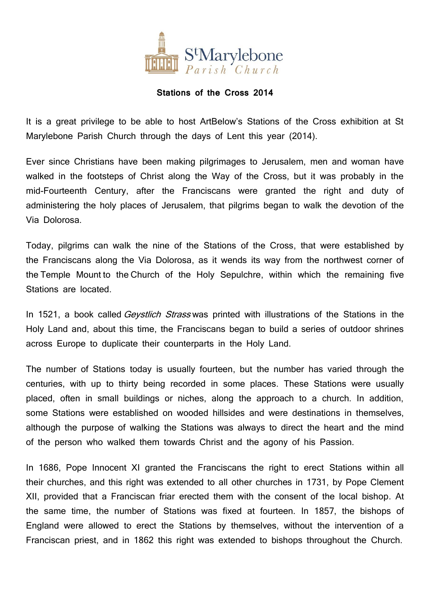

## **Stations of the Cross 2014**

It is a great privilege to be able to host ArtBelow's Stations of the Cross exhibition at St Marylebone Parish Church through the days of Lent this year (2014).

Ever since Christians have been making pilgrimages to Jerusalem, men and woman have walked in the footsteps of Christ along the Way of the Cross, but it was probably in the mid-Fourteenth Century, after the Franciscans were granted the right and duty of administering the holy places of Jerusalem, that pilgrims began to walk the devotion of the Via Dolorosa.

Today, pilgrims can walk the nine of the Stations of the Cross, that were established by the Franciscans along the Via Dolorosa, as it wends its way from the northwest corner of the [Temple Mount](http://en.wikipedia.org/wiki/Temple_Mount) to the [Church of the Holy Sepulchre,](http://en.wikipedia.org/wiki/Church_of_the_Holy_Sepulchre) within which the remaining five Stations are located.

In 1521, a book called *[Geystlich Strass](http://en.wikipedia.org/w/index.php?title=Geystlich_Strass&action=edit&redlink=1)* was printed with illustrations of the Stations in the Holy Land and, about this time, the Franciscans began to build a series of outdoor shrines across Europe to duplicate their counterparts in the Holy Land.

The number of Stations today is usually fourteen, but the number has varied through the centuries, with up to thirty being recorded in some places. These Stations were usually placed, often in small buildings or niches, along the approach to a church. In addition, some Stations were established on wooded hillsides and were destinations in themselves, although the purpose of walking the Stations was always to direct the heart and the mind of the person who walked them towards Christ and the agony of his Passion.

In 1686, Pope Innocent XI granted the Franciscans the right to erect Stations within all their churches, and this right was extended to all other churches in 1731, by Pope Clement XII, provided that a Franciscan friar erected them with the consent of the local bishop. At the same time, the number of Stations was fixed at fourteen. In 1857, the bishops of England were allowed to erect the Stations by themselves, without the intervention of a Franciscan priest, and in 1862 this right was extended to bishops throughout the Church.